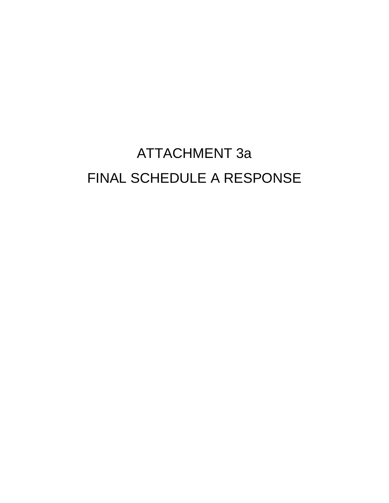# ATTACHMENT 3a FINAL SCHEDULE A RESPONSE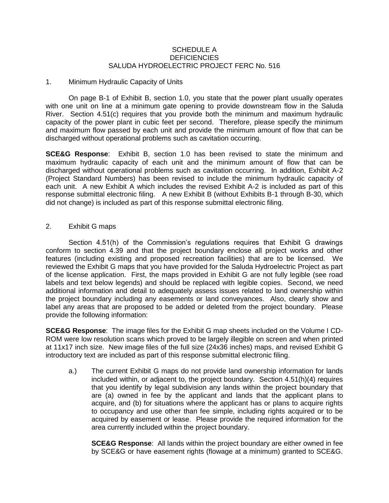### SCHEDULE A **DEFICIENCIES** SALUDA HYDROELECTRIC PROJECT FERC No. 516

### 1. Minimum Hydraulic Capacity of Units

On page B-1 of Exhibit B, section 1.0, you state that the power plant usually operates with one unit on line at a minimum gate opening to provide downstream flow in the Saluda River. Section 4.51(c) requires that you provide both the minimum and maximum hydraulic capacity of the power plant in cubic feet per second. Therefore, please specify the minimum and maximum flow passed by each unit and provide the minimum amount of flow that can be discharged without operational problems such as cavitation occurring.

**SCE&G Response**: Exhibit B, section 1.0 has been revised to state the minimum and maximum hydraulic capacity of each unit and the minimum amount of flow that can be discharged without operational problems such as cavitation occurring. In addition, Exhibit A-2 (Project Standard Numbers) has been revised to include the minimum hydraulic capacity of each unit. A new Exhibit A which includes the revised Exhibit A-2 is included as part of this response submittal electronic filing. A new Exhibit B (without Exhibits B-1 through B-30, which did not change) is included as part of this response submittal electronic filing.

## 2. Exhibit G maps

Section 4.51(h) of the Commission's regulations requires that Exhibit G drawings conform to section 4.39 and that the project boundary enclose all project works and other features (including existing and proposed recreation facilities) that are to be licensed. We reviewed the Exhibit G maps that you have provided for the Saluda Hydroelectric Project as part of the license application. First, the maps provided in Exhibit G are not fully legible (see road labels and text below legends) and should be replaced with legible copies. Second, we need additional information and detail to adequately assess issues related to land ownership within the project boundary including any easements or land conveyances. Also, clearly show and label any areas that are proposed to be added or deleted from the project boundary. Please provide the following information:

**SCE&G Response**: The image files for the Exhibit G map sheets included on the Volume I CD-ROM were low resolution scans which proved to be largely illegible on screen and when printed at 11x17 inch size. New image files of the full size (24x36 inches) maps, and revised Exhibit G introductory text are included as part of this response submittal electronic filing.

a.) The current Exhibit G maps do not provide land ownership information for lands included within, or adjacent to, the project boundary. Section  $4.51(h)(4)$  requires that you identify by legal subdivision any lands within the project boundary that are (a) owned in fee by the applicant and lands that the applicant plans to acquire, and (b) for situations where the applicant has or plans to acquire rights to occupancy and use other than fee simple, including rights acquired or to be acquired by easement or lease. Please provide the required information for the area currently included within the project boundary.

**SCE&G Response**: All lands within the project boundary are either owned in fee by SCE&G or have easement rights (flowage at a minimum) granted to SCE&G.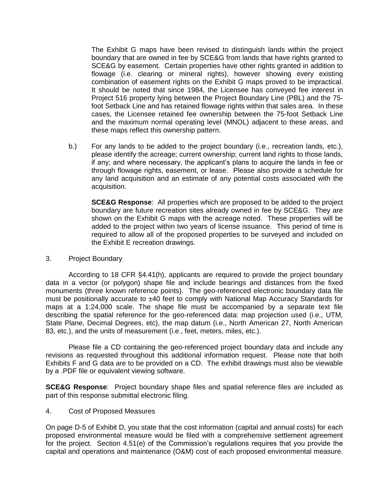The Exhibit G maps have been revised to distinguish lands within the project boundary that are owned in fee by SCE&G from lands that have rights granted to SCE&G by easement. Certain properties have other rights granted in addition to flowage (i.e. clearing or mineral rights), however showing every existing combination of easement rights on the Exhibit G maps proved to be impractical. It should be noted that since 1984, the Licensee has conveyed fee interest in Project 516 property lying between the Project Boundary Line (PBL) and the 75 foot Setback Line and has retained flowage rights within that sales area. In these cases, the Licensee retained fee ownership between the 75-foot Setback Line and the maximum normal operating level (MNOL) adjacent to these areas, and these maps reflect this ownership pattern.

b.) For any lands to be added to the project boundary (i.e., recreation lands, etc.), please identify the acreage; current ownership; current land rights to those lands, if any; and where necessary, the applicant's plans to acquire the lands in fee or through flowage rights, easement, or lease. Please also provide a schedule for any land acquisition and an estimate of any potential costs associated with the acquisition.

**SCE&G Response**: All properties which are proposed to be added to the project boundary are future recreation sites already owned in fee by SCE&G. They are shown on the Exhibit G maps with the acreage noted. These properties will be added to the project within two years of license issuance. This period of time is required to allow all of the proposed properties to be surveyed and included on the Exhibit E recreation drawings.

## 3. Project Boundary

According to 18 CFR §4.41(h), applicants are required to provide the project boundary data in a vector (or polygon) shape file and include bearings and distances from the fixed monuments (three known reference points). The geo-referenced electronic boundary data file must be positionally accurate to  $\pm 40$  feet to comply with National Map Accuracy Standards for maps at a 1:24,000 scale. The shape file must be accompanied by a separate text file describing the spatial reference for the geo-referenced data: map projection used (i.e., UTM, State Plane, Decimal Degrees, etc), the map datum (i.e., North American 27, North American 83, etc.), and the units of measurement (i.e., feet, meters, miles, etc.).

Please file a CD containing the geo-referenced project boundary data and include any revisions as requested throughout this additional information request. Please note that both Exhibits F and G data are to be provided on a CD. The exhibit drawings must also be viewable by a .PDF file or equivalent viewing software.

**SCE&G Response**: Project boundary shape files and spatial reference files are included as part of this response submittal electronic filing.

4. Cost of Proposed Measures

On page D-5 of Exhibit D, you state that the cost information (capital and annual costs) for each proposed environmental measure would be filed with a comprehensive settlement agreement for the project. Section 4.51(e) of the Commission's regulations requires that you provide the capital and operations and maintenance (O&M) cost of each proposed environmental measure.